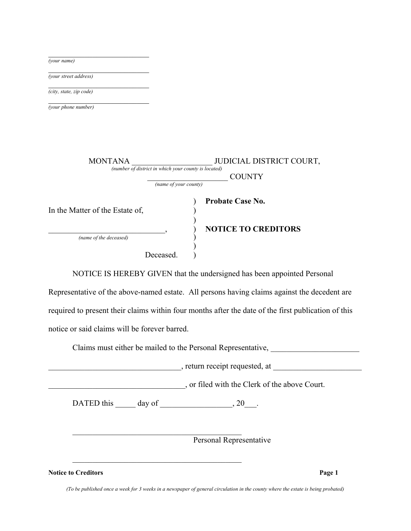| (your name)                     |                                                                       |
|---------------------------------|-----------------------------------------------------------------------|
| (your street address)           |                                                                       |
| (city, state, zip code)         |                                                                       |
| (your phone number)             |                                                                       |
|                                 |                                                                       |
|                                 |                                                                       |
| <b>MONTANA</b>                  | JUDICIAL DISTRICT COURT,                                              |
|                                 | (number of district in which your county is located)<br><b>COUNTY</b> |
| (name of your county)           |                                                                       |
|                                 | <b>Probate Case No.</b>                                               |
| In the Matter of the Estate of, |                                                                       |
| (name of the deceased)          | <b>NOTICE TO CREDITORS</b>                                            |
|                                 |                                                                       |
|                                 | Deceased.                                                             |

NOTICE IS HEREBY GIVEN that the undersigned has been appointed Personal

Representative of the above-named estate. All persons having claims against the decedent are required to present their claims within four months after the date of the first publication of this notice or said claims will be forever barred.

Claims must either be mailed to the Personal Representative,

 $\blacksquare$ , return receipt requested, at  $\blacksquare$ 

\_\_\_\_\_\_\_\_\_\_\_\_\_\_\_\_\_\_\_\_\_\_\_\_\_\_\_\_\_\_\_\_\_\_, or filed with the Clerk of the above Court.

DATED this  $\rule{1em}{0.15mm}$  day of  $\rule{1.5mm}{0.15mm}$   $20\qrule{1.5mm}{0.15mm}$ .

 $\mathcal{L}_\text{max}$  , and the set of the set of the set of the set of the set of the set of the set of the set of the set of the set of the set of the set of the set of the set of the set of the set of the set of the set of the

Personal Representative

**Notice to Creditors Page 1**

*(To be published once a week for 3 weeks in a newspaper of general circulation in the county where the estate is being probated)*